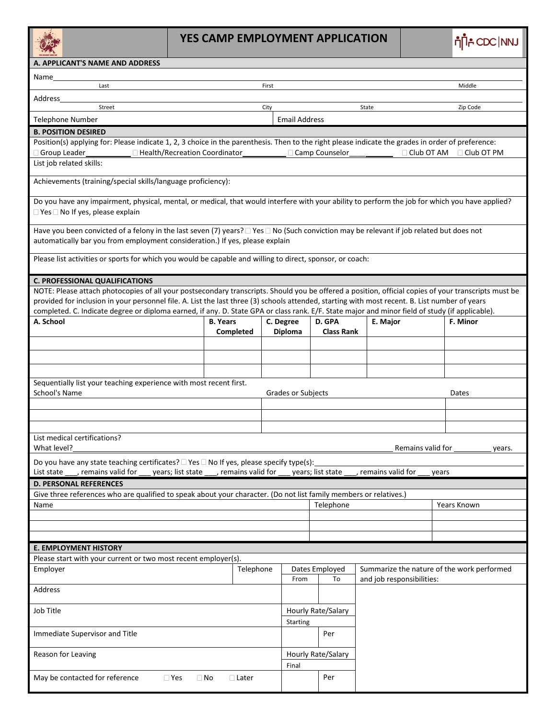## **YES CAMP EMPLOYMENT APPLICATION**

|                                                                                                                                                                                                                                                                                                                                                                                                                                                           | YES CAMP EMPLOYMENT APPLICATION                                                       |                    |                      |                             |                           |                   |                                            |  |
|-----------------------------------------------------------------------------------------------------------------------------------------------------------------------------------------------------------------------------------------------------------------------------------------------------------------------------------------------------------------------------------------------------------------------------------------------------------|---------------------------------------------------------------------------------------|--------------------|----------------------|-----------------------------|---------------------------|-------------------|--------------------------------------------|--|
| A. APPLICANT'S NAME AND ADDRESS                                                                                                                                                                                                                                                                                                                                                                                                                           |                                                                                       |                    |                      |                             |                           |                   |                                            |  |
| Name                                                                                                                                                                                                                                                                                                                                                                                                                                                      |                                                                                       |                    |                      |                             |                           |                   |                                            |  |
| Last                                                                                                                                                                                                                                                                                                                                                                                                                                                      |                                                                                       | First              |                      |                             |                           |                   | Middle                                     |  |
| Address                                                                                                                                                                                                                                                                                                                                                                                                                                                   |                                                                                       |                    |                      |                             |                           |                   |                                            |  |
| Street                                                                                                                                                                                                                                                                                                                                                                                                                                                    |                                                                                       | City               |                      |                             | State                     |                   | Zip Code                                   |  |
| <b>Telephone Number</b>                                                                                                                                                                                                                                                                                                                                                                                                                                   |                                                                                       |                    | <b>Email Address</b> |                             |                           |                   |                                            |  |
| <b>B. POSITION DESIRED</b><br>Position(s) applying for: Please indicate 1, 2, 3 choice in the parenthesis. Then to the right please indicate the grades in order of preference:                                                                                                                                                                                                                                                                           |                                                                                       |                    |                      |                             |                           |                   |                                            |  |
| Group Leader                                                                                                                                                                                                                                                                                                                                                                                                                                              | □ Health/Recreation Coordinator                                                       |                    |                      | □ Camp Counselor            |                           |                   | $\Box$ Club OT AM $\Box$ Club OT PM        |  |
| List job related skills:                                                                                                                                                                                                                                                                                                                                                                                                                                  |                                                                                       |                    |                      |                             |                           |                   |                                            |  |
| Achievements (training/special skills/language proficiency):                                                                                                                                                                                                                                                                                                                                                                                              |                                                                                       |                    |                      |                             |                           |                   |                                            |  |
| Do you have any impairment, physical, mental, or medical, that would interfere with your ability to perform the job for which you have applied?<br>$\Box$ Yes $\Box$ No If yes, please explain                                                                                                                                                                                                                                                            |                                                                                       |                    |                      |                             |                           |                   |                                            |  |
| Have you been convicted of a felony in the last seven (7) years? $\Box$ Yes $\Box$ No (Such conviction may be relevant if job related but does not<br>automatically bar you from employment consideration.) If yes, please explain                                                                                                                                                                                                                        |                                                                                       |                    |                      |                             |                           |                   |                                            |  |
| Please list activities or sports for which you would be capable and willing to direct, sponsor, or coach:                                                                                                                                                                                                                                                                                                                                                 |                                                                                       |                    |                      |                             |                           |                   |                                            |  |
| <b>C. PROFESSIONAL QUALIFICATIONS</b>                                                                                                                                                                                                                                                                                                                                                                                                                     |                                                                                       |                    |                      |                             |                           |                   |                                            |  |
| NOTE: Please attach photocopies of all your postsecondary transcripts. Should you be offered a position, official copies of your transcripts must be<br>provided for inclusion in your personnel file. A. List the last three (3) schools attended, starting with most recent. B. List number of years<br>completed. C. Indicate degree or diploma earned, if any. D. State GPA or class rank. E/F. State major and minor field of study (if applicable). |                                                                                       |                    |                      |                             |                           |                   |                                            |  |
| A. School                                                                                                                                                                                                                                                                                                                                                                                                                                                 | <b>B. Years</b>                                                                       | Completed          | C. Degree<br>Diploma | D. GPA<br><b>Class Rank</b> | E. Major                  |                   | F. Minor                                   |  |
|                                                                                                                                                                                                                                                                                                                                                                                                                                                           |                                                                                       |                    |                      |                             |                           |                   |                                            |  |
|                                                                                                                                                                                                                                                                                                                                                                                                                                                           |                                                                                       |                    |                      |                             |                           |                   |                                            |  |
|                                                                                                                                                                                                                                                                                                                                                                                                                                                           |                                                                                       |                    |                      |                             |                           |                   |                                            |  |
| Sequentially list your teaching experience with most recent first.                                                                                                                                                                                                                                                                                                                                                                                        |                                                                                       |                    |                      |                             |                           |                   |                                            |  |
| School's Name                                                                                                                                                                                                                                                                                                                                                                                                                                             |                                                                                       |                    | Grades or Subjects   |                             |                           |                   | Dates                                      |  |
|                                                                                                                                                                                                                                                                                                                                                                                                                                                           |                                                                                       |                    |                      |                             |                           |                   |                                            |  |
|                                                                                                                                                                                                                                                                                                                                                                                                                                                           |                                                                                       |                    |                      |                             |                           |                   |                                            |  |
|                                                                                                                                                                                                                                                                                                                                                                                                                                                           |                                                                                       |                    |                      |                             |                           |                   |                                            |  |
| List medical certifications?<br>What level?                                                                                                                                                                                                                                                                                                                                                                                                               |                                                                                       |                    |                      |                             |                           | Remains valid for | years.                                     |  |
| Do you have any state teaching certificates? $\Box$ Yes $\Box$ No If yes, please specify type(s):                                                                                                                                                                                                                                                                                                                                                         |                                                                                       |                    |                      |                             |                           |                   |                                            |  |
| , remains valid for<br>List state                                                                                                                                                                                                                                                                                                                                                                                                                         | years; list state ___, remains valid for ___ years; list state ___, remains valid for |                    |                      |                             |                           | years             |                                            |  |
| <b>D. PERSONAL REFERENCES</b>                                                                                                                                                                                                                                                                                                                                                                                                                             |                                                                                       |                    |                      |                             |                           |                   |                                            |  |
| Give three references who are qualified to speak about your character. (Do not list family members or relatives.)                                                                                                                                                                                                                                                                                                                                         |                                                                                       |                    |                      | Telephone                   |                           |                   | Years Known                                |  |
| Name                                                                                                                                                                                                                                                                                                                                                                                                                                                      |                                                                                       |                    |                      |                             |                           |                   |                                            |  |
|                                                                                                                                                                                                                                                                                                                                                                                                                                                           |                                                                                       |                    |                      |                             |                           |                   |                                            |  |
|                                                                                                                                                                                                                                                                                                                                                                                                                                                           |                                                                                       |                    |                      |                             |                           |                   |                                            |  |
| <b>E. EMPLOYMENT HISTORY</b>                                                                                                                                                                                                                                                                                                                                                                                                                              |                                                                                       |                    |                      |                             |                           |                   |                                            |  |
| Please start with your current or two most recent employer(s).                                                                                                                                                                                                                                                                                                                                                                                            |                                                                                       |                    |                      |                             |                           |                   |                                            |  |
| Employer                                                                                                                                                                                                                                                                                                                                                                                                                                                  |                                                                                       | Telephone          |                      | Dates Employed<br>To        | and job responsibilities: |                   | Summarize the nature of the work performed |  |
| Address                                                                                                                                                                                                                                                                                                                                                                                                                                                   |                                                                                       |                    |                      |                             |                           |                   |                                            |  |
| Job Title                                                                                                                                                                                                                                                                                                                                                                                                                                                 | <b>Starting</b>                                                                       | Hourly Rate/Salary |                      |                             |                           |                   |                                            |  |
| Immediate Supervisor and Title                                                                                                                                                                                                                                                                                                                                                                                                                            |                                                                                       |                    |                      | Per                         |                           |                   |                                            |  |
| Reason for Leaving                                                                                                                                                                                                                                                                                                                                                                                                                                        |                                                                                       |                    | Final                | Hourly Rate/Salary          |                           |                   |                                            |  |
| May be contacted for reference<br>$\Box$ Yes<br>$\Box$ No<br>$\Box$ Later                                                                                                                                                                                                                                                                                                                                                                                 |                                                                                       |                    |                      | Per                         |                           |                   |                                            |  |